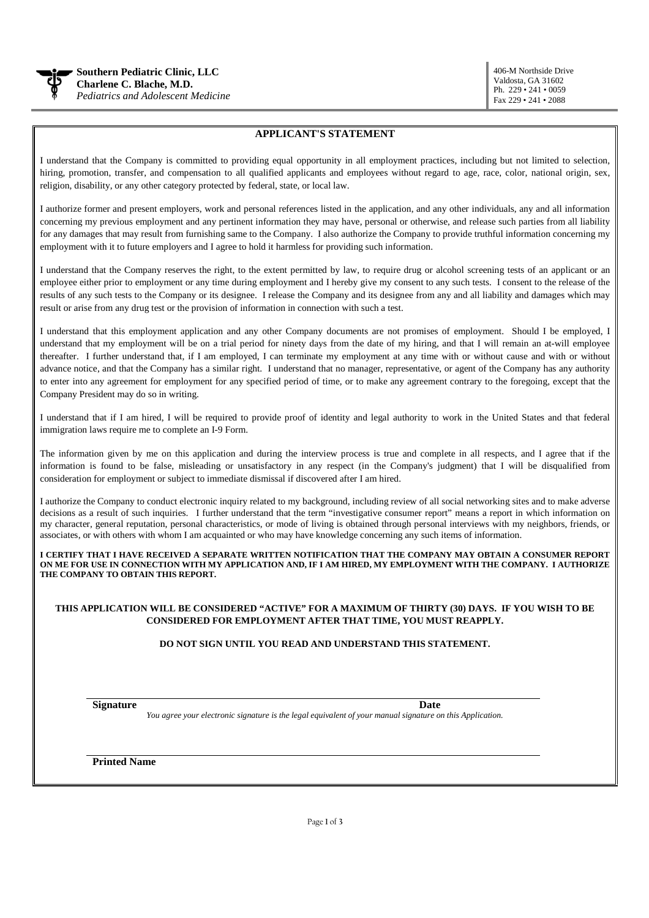## **APPLICANT'S STATEMENT**

I understand that the Company is committed to providing equal opportunity in all employment practices, including but not limited to selection, hiring, promotion, transfer, and compensation to all qualified applicants and employees without regard to age, race, color, national origin, sex, religion, disability, or any other category protected by federal, state, or local law.

I authorize former and present employers, work and personal references listed in the application, and any other individuals, any and all information concerning my previous employment and any pertinent information they may have, personal or otherwise, and release such parties from all liability for any damages that may result from furnishing same to the Company. I also authorize the Company to provide truthful information concerning my employment with it to future employers and I agree to hold it harmless for providing such information.

I understand that the Company reserves the right, to the extent permitted by law, to require drug or alcohol screening tests of an applicant or an employee either prior to employment or any time during employment and I hereby give my consent to any such tests. I consent to the release of the results of any such tests to the Company or its designee. I release the Company and its designee from any and all liability and damages which may result or arise from any drug test or the provision of information in connection with such a test.

I understand that this employment application and any other Company documents are not promises of employment. Should I be employed, I understand that my employment will be on a trial period for ninety days from the date of my hiring, and that I will remain an at-will employee thereafter. I further understand that, if I am employed, I can terminate my employment at any time with or without cause and with or without advance notice, and that the Company has a similar right. I understand that no manager, representative, or agent of the Company has any authority to enter into any agreement for employment for any specified period of time, or to make any agreement contrary to the foregoing, except that the Company President may do so in writing.

I understand that if I am hired, I will be required to provide proof of identity and legal authority to work in the United States and that federal immigration laws require me to complete an I-9 Form.

The information given by me on this application and during the interview process is true and complete in all respects, and I agree that if the information is found to be false, misleading or unsatisfactory in any respect (in the Company's judgment) that I will be disqualified from consideration for employment or subject to immediate dismissal if discovered after I am hired.

I authorize the Company to conduct electronic inquiry related to my background, including review of all social networking sites and to make adverse decisions as a result of such inquiries. I further understand that the term "investigative consumer report" means a report in which information on my character, general reputation, personal characteristics, or mode of living is obtained through personal interviews with my neighbors, friends, or associates, or with others with whom I am acquainted or who may have knowledge concerning any such items of information.

**I CERTIFY THAT I HAVE RECEIVED A SEPARATE WRITTEN NOTIFICATION THAT THE COMPANY MAY OBTAIN A CONSUMER REPORT ON ME FOR USE IN CONNECTION WITH MY APPLICATION AND, IF I AM HIRED, MY EMPLOYMENT WITH THE COMPANY. I AUTHORIZE THE COMPANY TO OBTAIN THIS REPORT.**

## **THIS APPLICATION WILL BE CONSIDERED "ACTIVE" FOR A MAXIMUM OF THIRTY (30) DAYS. IF YOU WISH TO BE CONSIDERED FOR EMPLOYMENT AFTER THAT TIME, YOU MUST REAPPLY.**

## **DO NOT SIGN UNTIL YOU READ AND UNDERSTAND THIS STATEMENT.**

**Signature** Date

*You agree your electronic signature is the legal equivalent of your manual signature on this Application.*

**Printed Name**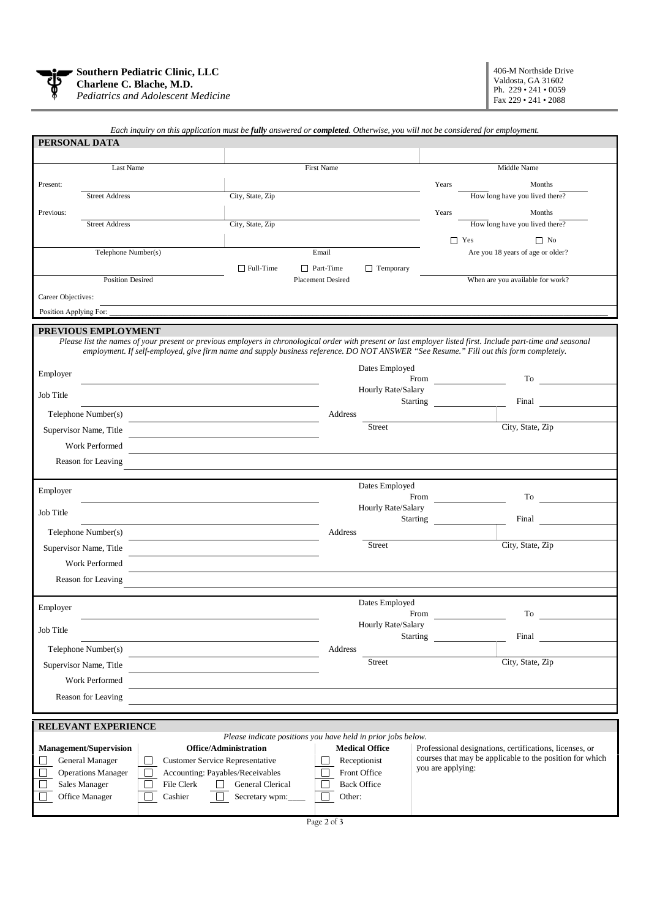

|                                                               |                                         |                                                              | Each inquiry on this application must be fully answered or completed. Otherwise, you will not be considered for employment.                                                                                                                                                                             |
|---------------------------------------------------------------|-----------------------------------------|--------------------------------------------------------------|---------------------------------------------------------------------------------------------------------------------------------------------------------------------------------------------------------------------------------------------------------------------------------------------------------|
| PERSONAL DATA                                                 |                                         |                                                              |                                                                                                                                                                                                                                                                                                         |
|                                                               |                                         |                                                              |                                                                                                                                                                                                                                                                                                         |
| Last Name                                                     |                                         | First Name                                                   | Middle Name                                                                                                                                                                                                                                                                                             |
| Present:                                                      |                                         |                                                              | Years<br>Months                                                                                                                                                                                                                                                                                         |
| <b>Street Address</b>                                         | City, State, Zip                        |                                                              | How long have you lived there?                                                                                                                                                                                                                                                                          |
| Previous:                                                     |                                         |                                                              | Months<br>Years                                                                                                                                                                                                                                                                                         |
| <b>Street Address</b>                                         | City, State, Zip                        |                                                              | How long have you lived there?                                                                                                                                                                                                                                                                          |
|                                                               |                                         |                                                              | $\Box$ No<br>$\Box$ Yes                                                                                                                                                                                                                                                                                 |
| Telephone Number(s)                                           |                                         | Email                                                        | Are you 18 years of age or older?                                                                                                                                                                                                                                                                       |
|                                                               | $\Box$ Full-Time                        | $\Box$ Part-Time<br>$\Box$ Temporary                         |                                                                                                                                                                                                                                                                                                         |
| <b>Position Desired</b>                                       |                                         | <b>Placement Desired</b>                                     | When are you available for work?                                                                                                                                                                                                                                                                        |
| Career Objectives:                                            |                                         |                                                              |                                                                                                                                                                                                                                                                                                         |
|                                                               |                                         |                                                              |                                                                                                                                                                                                                                                                                                         |
| Position Applying For:                                        |                                         |                                                              |                                                                                                                                                                                                                                                                                                         |
| PREVIOUS EMPLOYMENT                                           |                                         |                                                              |                                                                                                                                                                                                                                                                                                         |
|                                                               |                                         |                                                              | Please list the names of your present or previous employers in chronological order with present or last employer listed first. Include part-time and seasonal<br>employment. If self-employed, give firm name and supply business reference. DO NOT ANSWER "See Resume." Fill out this form completely. |
|                                                               |                                         |                                                              |                                                                                                                                                                                                                                                                                                         |
| Employer                                                      |                                         | Dates Employed                                               |                                                                                                                                                                                                                                                                                                         |
|                                                               |                                         | Hourly Rate/Salary                                           | From Production Control Control Control Control Control Control Control Control Control Control Control Control Control Control Control Control Control Control Control Control Control Control Control Control Control Contro<br>To                                                                    |
| Job Title                                                     |                                         | <b>Starting</b>                                              | Final                                                                                                                                                                                                                                                                                                   |
| Telephone Number(s)                                           |                                         | Address                                                      |                                                                                                                                                                                                                                                                                                         |
| Supervisor Name, Title                                        |                                         | Street                                                       | City, State, Zip                                                                                                                                                                                                                                                                                        |
| Work Performed                                                |                                         |                                                              |                                                                                                                                                                                                                                                                                                         |
|                                                               |                                         |                                                              |                                                                                                                                                                                                                                                                                                         |
| Reason for Leaving                                            |                                         |                                                              |                                                                                                                                                                                                                                                                                                         |
|                                                               |                                         | Dates Employed                                               |                                                                                                                                                                                                                                                                                                         |
| Employer                                                      |                                         |                                                              | From<br>To                                                                                                                                                                                                                                                                                              |
| Job Title                                                     |                                         | Hourly Rate/Salary                                           |                                                                                                                                                                                                                                                                                                         |
|                                                               |                                         |                                                              |                                                                                                                                                                                                                                                                                                         |
|                                                               |                                         | <b>Starting</b>                                              | Final                                                                                                                                                                                                                                                                                                   |
| Telephone Number(s)                                           |                                         | Address                                                      |                                                                                                                                                                                                                                                                                                         |
| Supervisor Name, Title                                        |                                         | Street                                                       | City, State, Zip                                                                                                                                                                                                                                                                                        |
| Work Performed                                                |                                         |                                                              |                                                                                                                                                                                                                                                                                                         |
|                                                               |                                         |                                                              |                                                                                                                                                                                                                                                                                                         |
| Reason for Leaving                                            |                                         |                                                              |                                                                                                                                                                                                                                                                                                         |
|                                                               |                                         | Dates Employed                                               |                                                                                                                                                                                                                                                                                                         |
| Employer                                                      |                                         |                                                              | $T_0$<br>From                                                                                                                                                                                                                                                                                           |
| Job Title                                                     |                                         | Hourly Rate/Salary                                           |                                                                                                                                                                                                                                                                                                         |
|                                                               |                                         | <b>Starting</b>                                              | Final                                                                                                                                                                                                                                                                                                   |
| Telephone Number(s)                                           |                                         | Address                                                      |                                                                                                                                                                                                                                                                                                         |
| Supervisor Name, Title                                        |                                         | Street                                                       | City, State, Zip                                                                                                                                                                                                                                                                                        |
| Work Performed                                                |                                         |                                                              |                                                                                                                                                                                                                                                                                                         |
| Reason for Leaving                                            |                                         |                                                              |                                                                                                                                                                                                                                                                                                         |
|                                                               |                                         |                                                              |                                                                                                                                                                                                                                                                                                         |
|                                                               |                                         |                                                              |                                                                                                                                                                                                                                                                                                         |
| RELEVANT EXPERIENCE                                           |                                         | Please indicate positions you have held in prior jobs below. |                                                                                                                                                                                                                                                                                                         |
| <b>Management/Supervision</b>                                 | <b>Office/Administration</b>            | <b>Medical Office</b>                                        | Professional designations, certifications, licenses, or                                                                                                                                                                                                                                                 |
| General Manager<br>⊔                                          | <b>Customer Service Representative</b>  | Receptionist<br>L                                            | courses that may be applicable to the position for which                                                                                                                                                                                                                                                |
| <b>Operations Manager</b><br>П                                | Accounting: Payables/Receivables        | Front Office                                                 | you are applying:                                                                                                                                                                                                                                                                                       |
| Sales Manager<br>File Clerk<br>Office Manager<br>Cashier<br>L | General Clerical<br>П<br>Secretary wpm: | <b>Back Office</b><br>$\mathbf{I}$<br>Other:<br>Е            |                                                                                                                                                                                                                                                                                                         |

Page **2** of **3**